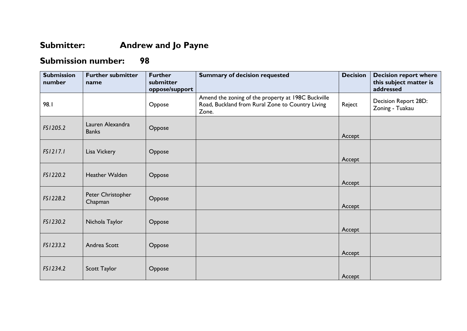## **Submitter: Andrew and Jo Payne**

## **Submission number: 98**

| <b>Submission</b><br>number | <b>Further submitter</b><br>name | <b>Further</b><br>submitter<br>oppose/support | <b>Summary of decision requested</b>                                                                            | <b>Decision</b> | <b>Decision report where</b><br>this subject matter is<br>addressed |
|-----------------------------|----------------------------------|-----------------------------------------------|-----------------------------------------------------------------------------------------------------------------|-----------------|---------------------------------------------------------------------|
| 98.I                        |                                  | Oppose                                        | Amend the zoning of the property at 198C Buckville<br>Road, Buckland from Rural Zone to Country Living<br>Zone. | Reject          | Decision Report 28D:<br>Zoning - Tuakau                             |
| FS1205.2                    | Lauren Alexandra<br><b>Banks</b> | Oppose                                        |                                                                                                                 | Accept          |                                                                     |
| FS1217.1                    | Lisa Vickery                     | Oppose                                        |                                                                                                                 | Accept          |                                                                     |
| FS1220.2                    | Heather Walden                   | Oppose                                        |                                                                                                                 | Accept          |                                                                     |
| FS1228.2                    | Peter Christopher<br>Chapman     | Oppose                                        |                                                                                                                 | Accept          |                                                                     |
| FS1230.2                    | Nichola Taylor                   | Oppose                                        |                                                                                                                 | Accept          |                                                                     |
| FS1233.2                    | Andrea Scott                     | Oppose                                        |                                                                                                                 | Accept          |                                                                     |
| FS1234.2                    | Scott Taylor                     | Oppose                                        |                                                                                                                 | Accept          |                                                                     |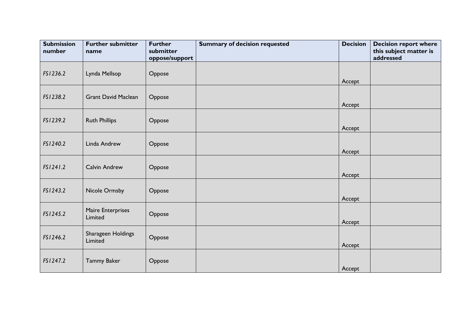| <b>Submission</b><br>number | <b>Further submitter</b><br>name | <b>Further</b><br>submitter<br>oppose/support | <b>Summary of decision requested</b> | <b>Decision</b> | <b>Decision report where</b><br>this subject matter is<br>addressed |
|-----------------------------|----------------------------------|-----------------------------------------------|--------------------------------------|-----------------|---------------------------------------------------------------------|
| FS1236.2                    | Lynda Mellsop                    | Oppose                                        |                                      | Accept          |                                                                     |
| FS1238.2                    | <b>Grant David Maclean</b>       | Oppose                                        |                                      | Accept          |                                                                     |
| FS1239.2                    | <b>Ruth Phillips</b>             | Oppose                                        |                                      | Accept          |                                                                     |
| FS1240.2                    | Linda Andrew                     | Oppose                                        |                                      | Accept          |                                                                     |
| FS1241.2                    | <b>Calvin Andrew</b>             | Oppose                                        |                                      | Accept          |                                                                     |
| FS1243.2                    | Nicole Ormsby                    | Oppose                                        |                                      | Accept          |                                                                     |
| FS1245.2                    | Maire Enterprises<br>Limited     | Oppose                                        |                                      | Accept          |                                                                     |
| FS1246.2                    | Sharageen Holdings<br>Limited    | Oppose                                        |                                      | Accept          |                                                                     |
| FS1247.2                    | <b>Tammy Baker</b>               | Oppose                                        |                                      | Accept          |                                                                     |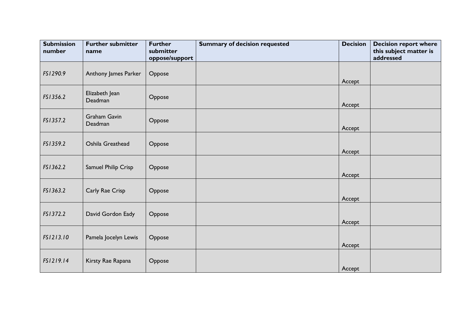| <b>Submission</b><br>number | <b>Further submitter</b><br>name | <b>Further</b><br>submitter<br>oppose/support | <b>Summary of decision requested</b> | <b>Decision</b> | <b>Decision report where</b><br>this subject matter is<br>addressed |
|-----------------------------|----------------------------------|-----------------------------------------------|--------------------------------------|-----------------|---------------------------------------------------------------------|
| FS1290.9                    | Anthony James Parker             | Oppose                                        |                                      | Accept          |                                                                     |
| FS1356.2                    | Elizabeth Jean<br>Deadman        | Oppose                                        |                                      | Accept          |                                                                     |
| FS1357.2                    | <b>Graham Gavin</b><br>Deadman   | Oppose                                        |                                      | Accept          |                                                                     |
| FS1359.2                    | Oshila Greathead                 | Oppose                                        |                                      | Accept          |                                                                     |
| FS1362.2                    | Samuel Philip Crisp              | Oppose                                        |                                      | Accept          |                                                                     |
| FS1363.2                    | Carly Rae Crisp                  | Oppose                                        |                                      | Accept          |                                                                     |
| FS1372.2                    | David Gordon Eady                | Oppose                                        |                                      | Accept          |                                                                     |
| FS1213.10                   | Pamela Jocelyn Lewis             | Oppose                                        |                                      | Accept          |                                                                     |
| FS1219.14                   | Kirsty Rae Rapana                | Oppose                                        |                                      | Accept          |                                                                     |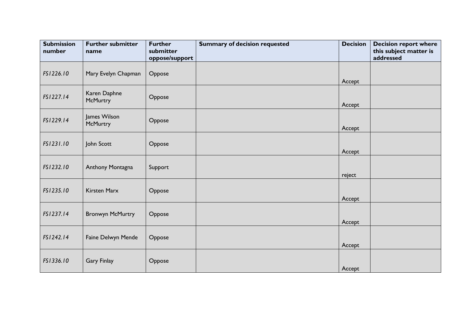| <b>Submission</b><br>number | <b>Further submitter</b><br>name | <b>Further</b><br>submitter<br>oppose/support | <b>Summary of decision requested</b> | <b>Decision</b> | <b>Decision report where</b><br>this subject matter is<br>addressed |
|-----------------------------|----------------------------------|-----------------------------------------------|--------------------------------------|-----------------|---------------------------------------------------------------------|
| FS1226.10                   | Mary Evelyn Chapman              | Oppose                                        |                                      | Accept          |                                                                     |
| FS1227.14                   | Karen Daphne<br><b>McMurtry</b>  | Oppose                                        |                                      | Accept          |                                                                     |
| FS1229.14                   | James Wilson<br><b>McMurtry</b>  | Oppose                                        |                                      | Accept          |                                                                     |
| FS1231.10                   | John Scott                       | Oppose                                        |                                      | Accept          |                                                                     |
| FS1232.10                   | Anthony Montagna                 | Support                                       |                                      | reject          |                                                                     |
| FS1235.10                   | <b>Kirsten Marx</b>              | Oppose                                        |                                      | Accept          |                                                                     |
| FS1237.14                   | <b>Bronwyn McMurtry</b>          | Oppose                                        |                                      | Accept          |                                                                     |
| FS1242.14                   | Faine Delwyn Mende               | Oppose                                        |                                      | Accept          |                                                                     |
| FS1336.10                   | <b>Gary Finlay</b>               | Oppose                                        |                                      | Accept          |                                                                     |